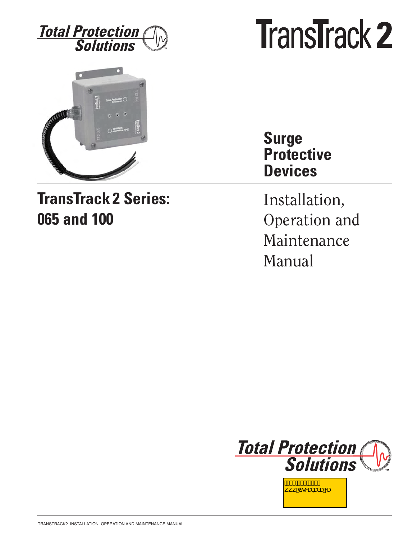



# **TransTrack 2 Series: 065 and 100**

## **Surge Protective Devices**

Installation, Operation and Maintenance Manual



,,, Èdi∙&aa)aaåa&Baa

QÎ<del>∈</del>ODÎHÊIGÎÎ

TransTrack2 insTallaTion, operaTion and MainTenance Manual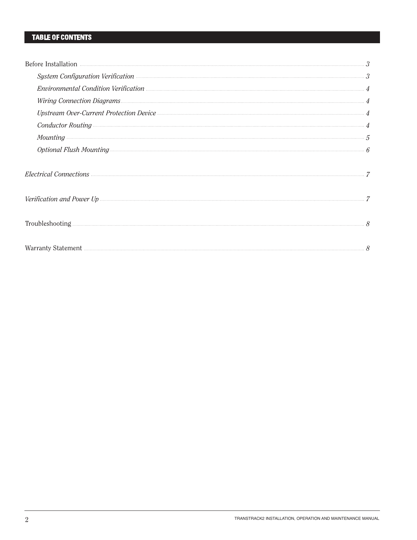### **TABLE OF CONTENTS**

| Before Installation <b>Executive Installation</b>                                 |  |
|-----------------------------------------------------------------------------------|--|
| System Configuration Verification <b>Material Configuration</b> 3                 |  |
| Environmental Condition Verification <b>Material According to the Condition</b> 4 |  |
| Wiring Connection Diagrams <b>Exercise Connection</b> 2 4                         |  |
|                                                                                   |  |
| Conductor Routing <b>Conduction</b> 2 4                                           |  |
| $\label{eq:1} \textit{Mounding}\xspace\longrightarrow\textit{5}$                  |  |
| $\emph{Optional Flux}~M \emph{ounding}~\ldots \emph{main}~6$                      |  |
| Electrical Connections <b>Electrical</b> Connections 7                            |  |
|                                                                                   |  |
|                                                                                   |  |
|                                                                                   |  |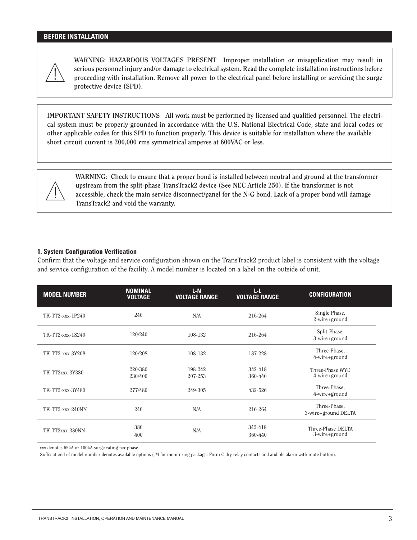#### **BEFORE INSTALLATION**



**WARNING: HAZARDOUS VOLTAGES PRESENT Improper installation or misapplication may result in serious personnel injury and/or damage to electrical system. Read the complete installation instructions before proceeding with installation. Remove all power to the electrical panel before installing or servicing the surge protective device (SPD).**

**IMPORTANT SAFETY INSTRUCTIONS All work must be performed by licensed and qualified personnel. The electrical system must be properly grounded in accordance with the U.S. National Electrical Code, state and local codes or other applicable codes for this SPD to function properly. This device is suitable for installation where the available short circuit current is 200,000 rms symmetrical amperes at 600VAC or less.**



**WARNING: Check to ensure that a proper bond is installed between neutral and ground at the transformer upstream from the split-phase TransTrack2 device (See NEC Article 250). If the transformer is not accessible, check the main service disconnect/panel for the N-G bond. Lack of a proper bond will damage TransTrack2 and void the warranty.**

#### **1. System Configuration Verification**

Confirm that the voltage and service configuration shown on the TransTrack2 product label is consistent with the voltage and service configuration of the facility. A model number is located on a label on the outside of unit.

| <b>MODEL NUMBER</b>     | <b>NOMINAL</b><br><b>VOLTAGE</b> | $L-N$<br><b>VOLTAGE RANGE</b> | $L_{\rm L}$<br><b>VOLTAGE RANGE</b> | <b>CONFIGURATION</b>                |
|-------------------------|----------------------------------|-------------------------------|-------------------------------------|-------------------------------------|
| TK-TT2-xxx-1P240        | 240                              | N/A                           | 216-264                             | Single Phase,<br>2-wire+ground      |
| TK-TT2-xxx-1S240        | 120/240                          | 108-132                       | 216-264                             | Split-Phase,<br>3-wire+ground       |
| TK-TT2-xxx-3Y208        | 120/208                          | 108-132                       | 187-228                             | Three-Phase,<br>4-wire+ground       |
| TK-TT2xxx-3Y380         | 220/380<br>230/400               | 198-242<br>207-253            | 342-418<br>360-440                  | Three-Phase WYE<br>4-wire+ground    |
| TK-TT2-xxx-3Y480        | 277/480                          | 249-305                       | 432-526                             | Three-Phase,<br>4-wire+ground       |
| <b>TK-TT2-xxx-240NN</b> | 240                              | N/A                           | 216-264                             | Three-Phase,<br>3-wire+ground DELTA |
| TK-TT2xxx-380NN         | 380<br>400                       | N/A                           | 342-418<br>360-440                  | Three-Phase DELTA<br>3-wire+ground  |

xxx denotes 65kA or 100kA surge rating per phase.

Suffix at end of model number denotes available options (-M for monitoring package: Form C dry relay contacts and audible alarm with mute button).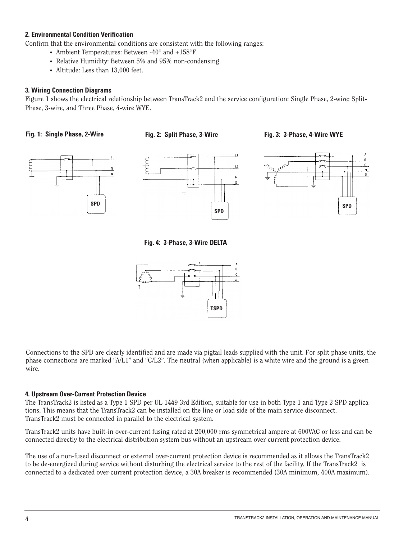### **2. Environmental Condition Verification**

Confirm that the environmental conditions are consistent with the following ranges:

- Ambient Temperatures: Between -40° and +158°F.
- Relative Humidity: Between 5% and 95% non-condensing.
- Altitude: Less than 13,000 feet.

#### **3. Wiring Connection Diagrams**

Figure 1 shows the electrical relationship between TransTrack2 and the service configuration: Single Phase, 2-wire; Split-Phase, 3-wire, and Three Phase, 4-wire WYE.

#### **Fig. 1: Single Phase, 2-Wire**









**Fig. 4: 3-Phase, 3-Wire DELTA**



Connections to the SPD are clearly identified and are made via pigtail leads supplied with the unit. For split phase units, the phase connections are marked "A/L1" and "C/L2". The neutral (when applicable) is a white wire and the ground is a green wire.

#### **4. Upstream Over-Current Protection Device**

The TransTrack2 is listed as a Type 1 SPD per UL 1449 3rd Edition, suitable for use in both Type 1 and Type 2 SPD applications. This means that the TransTrack2 can be installed on the line or load side of the main service disconnect. TransTrack2 must be connected in parallel to the electrical system.

TransTrack2 units have built-in over-current fusing rated at 200,000 rms symmetrical ampere at 600VAC or less and can be connected directly to the electrical distribution system bus without an upstream over-current protection device.

The use of a non-fused disconnect or external over-current protection device is recommended as it allows the TransTrack2 to be de-energized during service without disturbing the electrical service to the rest of the facility. If the TransTrack2 is connected to a dedicated over-current protection device, a 30A breaker is recommended (30A minimum, 400A maximum).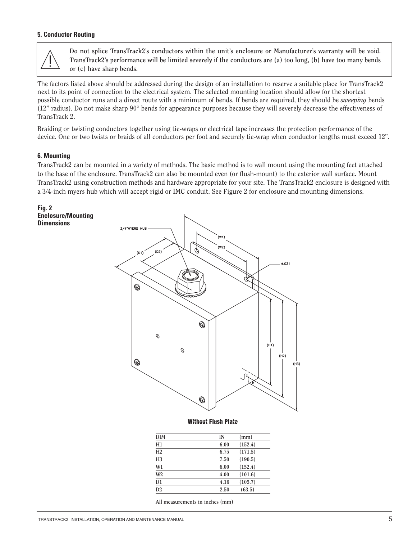#### **5. Conductor Routing**



**Do not splice TransTrack2's conductors within the unit's enclosure or Manufacturer's warranty will be void. TransTrack2's performance will be limited severely if the conductors are (a) too long, (b) have too many bends or (c) have sharp bends.**

The factors listed above should be addressed during the design of an installation to reserve a suitable place for TransTrack2 next to its point of connection to the electrical system. The selected mounting location should allow for the shortest possible conductor runs and a direct route with a minimum of bends. If bends are required, they should be *sweeping* bends (12" radius). Do not make sharp 90° bends for appearance purposes because they will severely decrease the effectiveness of TransTrack 2.

Braiding or twisting conductors together using tie-wraps or electrical tape increases the protection performance of the device. One or two twists or braids of all conductors per foot and securely tie-wrap when conductor lengths must exceed 12".

#### **6. Mounting**

TransTrack2 can be mounted in a variety of methods. The basic method is to wall mount using the mounting feet attached to the base of the enclosure. TransTrack2 can also be mounted even (or flush-mount) to the exterior wall surface. Mount TransTrack2 using construction methods and hardware appropriate for your site. The TransTrack2 enclosure is designed with a 3/4-inch myers hub which will accept rigid or IMC conduit. See Figure 2 for enclosure and mounting dimensions.



**All measurements in inches (mm)** 

**D2 2.50 (63.5)**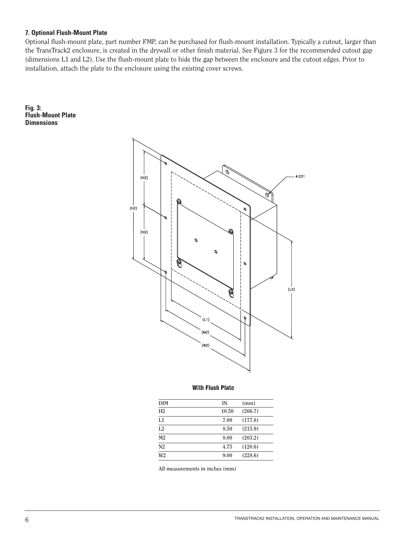#### **7. Optional Flush-Mount Plate**

Optional flush-mount plate, part number FMP, can be purchased for flush-mount installation. Typically a cutout, larger than the TransTrack2 enclosure, is created in the drywall or other finish material. See Figure 3 for the recommended cutout gap (dimensions L1 and L2). Use the flush-mount plate to hide the gap between the enclosure and the cutout edges. Prior to installation, attach the plate to the enclosure using the existing cover screws.





#### **With Flush Plate**

| DIM            | IN    | (mm)    |
|----------------|-------|---------|
| H2             | 10.50 | (266.7) |
| L1             | 7.00  | (177.8) |
| L <sub>2</sub> | 8.50  | (215.9) |
| M <sub>2</sub> | 8.00  | (203.2) |
| N <sub>2</sub> | 4.75  | (120.6) |
| W <sub>2</sub> | 9.00  | (228.6) |

**All measurements in inches (mm)**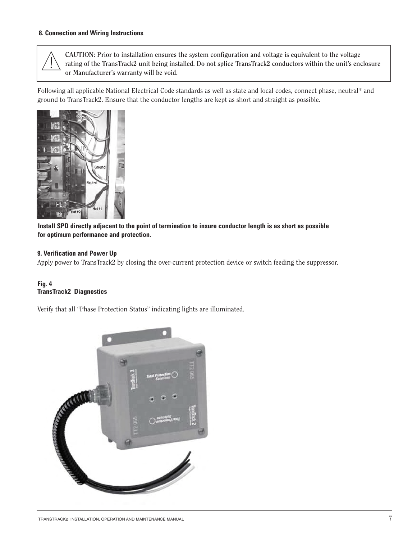#### **8. Connection and Wiring Instructions**

**CAUTION: Prior to installation ensures the system configuration and voltage is equivalent to the voltage rating of the TransTrack2 unit being installed. Do not splice TransTrack2 conductors within the unit's enclosure or Manufacturer's warranty will be void.**

Following all applicable National Electrical Code standards as well as state and local codes, connect phase, neutral\* and ground to TransTrack2. Ensure that the conductor lengths are kept as short and straight as possible.



#### **Install SPD directly adjacent to the point of termination to insure conductor length is as short as possible for optimum performance and protection.**

#### **9. Verification and Power Up**

Apply power to TransTrack2 by closing the over-current protection device or switch feeding the suppressor.

#### **Fig. 4 TransTrack2 Diagnostics**

Verify that all "Phase Protection Status" indicating lights are illuminated.